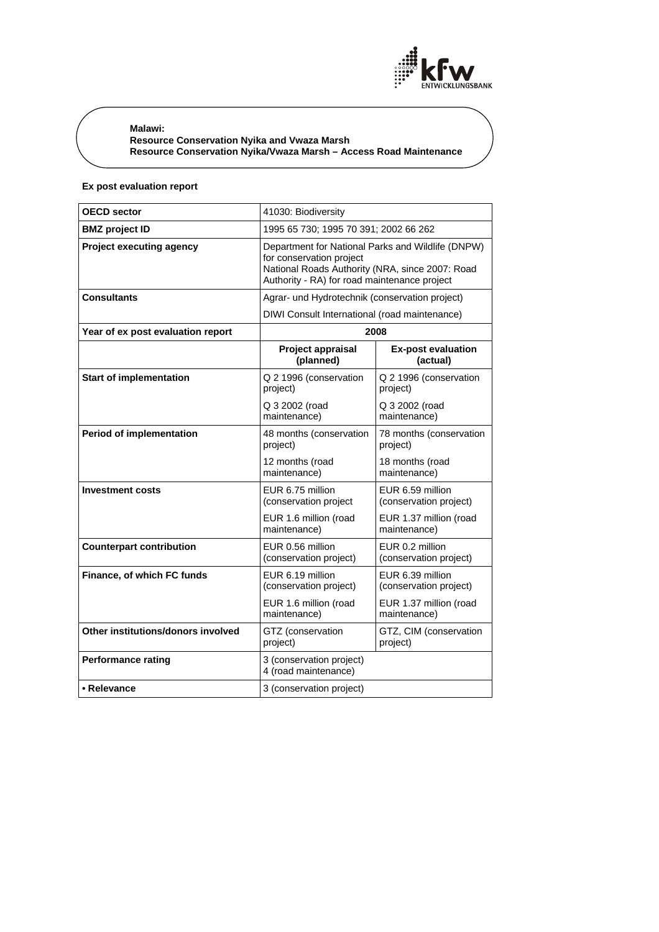

**Malawi: Resource Conservation Nyika and Vwaza Marsh Resource Conservation Nyika/Vwaza Marsh – Access Road Maintenance** 

# **Ex post evaluation report**

| <b>OECD sector</b>                 | 41030: Biodiversity                                                                                                                                                              |                                            |
|------------------------------------|----------------------------------------------------------------------------------------------------------------------------------------------------------------------------------|--------------------------------------------|
| <b>BMZ</b> project ID              | 1995 65 730; 1995 70 391; 2002 66 262                                                                                                                                            |                                            |
| <b>Project executing agency</b>    | Department for National Parks and Wildlife (DNPW)<br>for conservation project<br>National Roads Authority (NRA, since 2007: Road<br>Authority - RA) for road maintenance project |                                            |
| <b>Consultants</b>                 | Agrar- und Hydrotechnik (conservation project)                                                                                                                                   |                                            |
|                                    | DIWI Consult International (road maintenance)                                                                                                                                    |                                            |
| Year of ex post evaluation report  | 2008                                                                                                                                                                             |                                            |
|                                    | Project appraisal<br>(planned)                                                                                                                                                   | <b>Ex-post evaluation</b><br>(actual)      |
| <b>Start of implementation</b>     | Q 2 1996 (conservation<br>project)                                                                                                                                               | Q 2 1996 (conservation<br>project)         |
|                                    | Q 3 2002 (road<br>maintenance)                                                                                                                                                   | Q 3 2002 (road<br>maintenance)             |
| <b>Period of implementation</b>    | 48 months (conservation<br>project)                                                                                                                                              | 78 months (conservation<br>project)        |
|                                    | 12 months (road<br>maintenance)                                                                                                                                                  | 18 months (road<br>maintenance)            |
| <b>Investment costs</b>            | EUR 6.75 million<br>(conservation project                                                                                                                                        | EUR 6.59 million<br>(conservation project) |
|                                    | EUR 1.6 million (road<br>maintenance)                                                                                                                                            | EUR 1.37 million (road<br>maintenance)     |
| <b>Counterpart contribution</b>    | EUR 0.56 million<br>(conservation project)                                                                                                                                       | EUR 0.2 million<br>(conservation project)  |
| Finance, of which FC funds         | EUR 6.19 million<br>(conservation project)                                                                                                                                       | EUR 6.39 million<br>(conservation project) |
|                                    | EUR 1.6 million (road<br>maintenance)                                                                                                                                            | EUR 1.37 million (road<br>maintenance)     |
| Other institutions/donors involved | GTZ (conservation<br>project)                                                                                                                                                    | GTZ, CIM (conservation<br>project)         |
| <b>Performance rating</b>          | 3 (conservation project)<br>4 (road maintenance)                                                                                                                                 |                                            |
| • Relevance                        | 3 (conservation project)                                                                                                                                                         |                                            |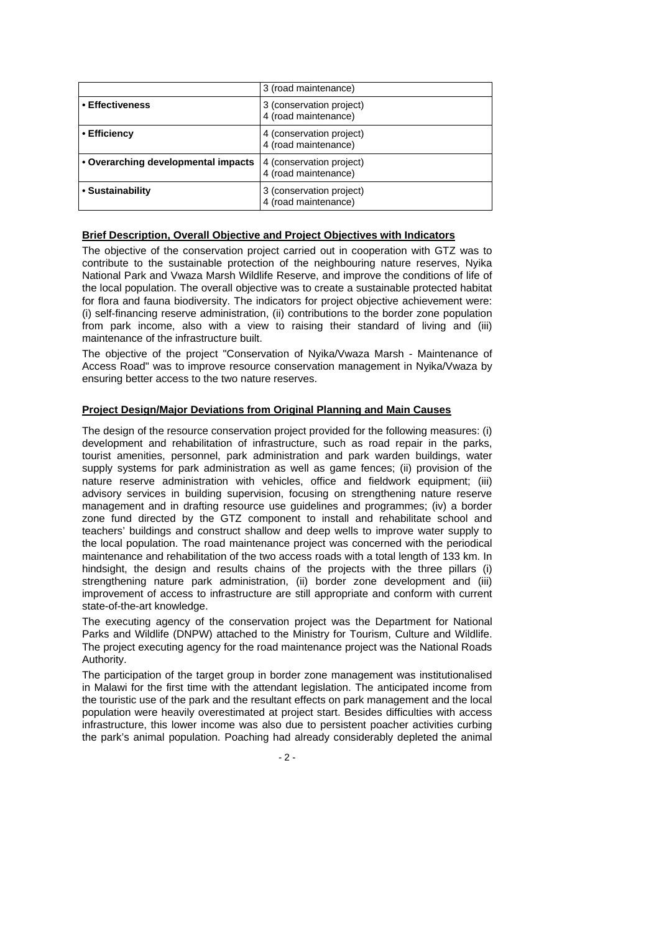|                                     | 3 (road maintenance)                             |
|-------------------------------------|--------------------------------------------------|
| • Effectiveness                     | 3 (conservation project)<br>4 (road maintenance) |
| • Efficiency                        | 4 (conservation project)<br>4 (road maintenance) |
| • Overarching developmental impacts | 4 (conservation project)<br>4 (road maintenance) |
| • Sustainability                    | 3 (conservation project)<br>4 (road maintenance) |

## **Brief Description, Overall Objective and Project Objectives with Indicators**

The objective of the conservation project carried out in cooperation with GTZ was to contribute to the sustainable protection of the neighbouring nature reserves, Nyika National Park and Vwaza Marsh Wildlife Reserve, and improve the conditions of life of the local population. The overall objective was to create a sustainable protected habitat for flora and fauna biodiversity. The indicators for project objective achievement were: (i) self-financing reserve administration, (ii) contributions to the border zone population from park income, also with a view to raising their standard of living and (iii) maintenance of the infrastructure built.

The objective of the project "Conservation of Nyika/Vwaza Marsh - Maintenance of Access Road" was to improve resource conservation management in Nyika/Vwaza by ensuring better access to the two nature reserves.

## **Project Design/Major Deviations from Original Planning and Main Causes**

The design of the resource conservation project provided for the following measures: (i) development and rehabilitation of infrastructure, such as road repair in the parks, tourist amenities, personnel, park administration and park warden buildings, water supply systems for park administration as well as game fences; (ii) provision of the nature reserve administration with vehicles, office and fieldwork equipment; (iii) advisory services in building supervision, focusing on strengthening nature reserve management and in drafting resource use guidelines and programmes; (iv) a border zone fund directed by the GTZ component to install and rehabilitate school and teachers' buildings and construct shallow and deep wells to improve water supply to the local population. The road maintenance project was concerned with the periodical maintenance and rehabilitation of the two access roads with a total length of 133 km. In hindsight, the design and results chains of the projects with the three pillars (i) strengthening nature park administration, (ii) border zone development and (iii) improvement of access to infrastructure are still appropriate and conform with current state-of-the-art knowledge.

The executing agency of the conservation project was the Department for National Parks and Wildlife (DNPW) attached to the Ministry for Tourism, Culture and Wildlife. The project executing agency for the road maintenance project was the National Roads Authority.

The participation of the target group in border zone management was institutionalised in Malawi for the first time with the attendant legislation. The anticipated income from the touristic use of the park and the resultant effects on park management and the local population were heavily overestimated at project start. Besides difficulties with access infrastructure, this lower income was also due to persistent poacher activities curbing the park's animal population. Poaching had already considerably depleted the animal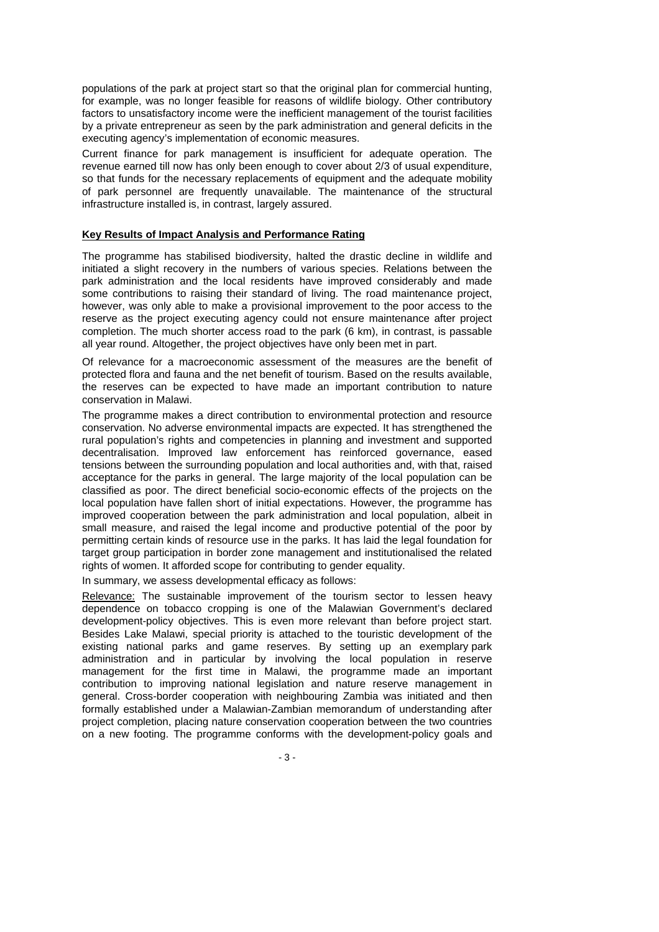populations of the park at project start so that the original plan for commercial hunting, for example, was no longer feasible for reasons of wildlife biology. Other contributory factors to unsatisfactory income were the inefficient management of the tourist facilities by a private entrepreneur as seen by the park administration and general deficits in the executing agency's implementation of economic measures.

Current finance for park management is insufficient for adequate operation. The revenue earned till now has only been enough to cover about 2/3 of usual expenditure, so that funds for the necessary replacements of equipment and the adequate mobility of park personnel are frequently unavailable. The maintenance of the structural infrastructure installed is, in contrast, largely assured.

### **Key Results of Impact Analysis and Performance Rating**

The programme has stabilised biodiversity, halted the drastic decline in wildlife and initiated a slight recovery in the numbers of various species. Relations between the park administration and the local residents have improved considerably and made some contributions to raising their standard of living. The road maintenance project, however, was only able to make a provisional improvement to the poor access to the reserve as the project executing agency could not ensure maintenance after project completion. The much shorter access road to the park (6 km), in contrast, is passable all year round. Altogether, the project objectives have only been met in part.

Of relevance for a macroeconomic assessment of the measures are the benefit of protected flora and fauna and the net benefit of tourism. Based on the results available, the reserves can be expected to have made an important contribution to nature conservation in Malawi.

The programme makes a direct contribution to environmental protection and resource conservation. No adverse environmental impacts are expected. It has strengthened the rural population's rights and competencies in planning and investment and supported decentralisation. Improved law enforcement has reinforced governance, eased tensions between the surrounding population and local authorities and, with that, raised acceptance for the parks in general. The large majority of the local population can be classified as poor. The direct beneficial socio-economic effects of the projects on the local population have fallen short of initial expectations. However, the programme has improved cooperation between the park administration and local population, albeit in small measure, and raised the legal income and productive potential of the poor by permitting certain kinds of resource use in the parks. It has laid the legal foundation for target group participation in border zone management and institutionalised the related rights of women. It afforded scope for contributing to gender equality.

In summary, we assess developmental efficacy as follows:

Relevance: The sustainable improvement of the tourism sector to lessen heavy dependence on tobacco cropping is one of the Malawian Government's declared development-policy objectives. This is even more relevant than before project start. Besides Lake Malawi, special priority is attached to the touristic development of the existing national parks and game reserves. By setting up an exemplary park administration and in particular by involving the local population in reserve management for the first time in Malawi, the programme made an important contribution to improving national legislation and nature reserve management in general. Cross-border cooperation with neighbouring Zambia was initiated and then formally established under a Malawian-Zambian memorandum of understanding after project completion, placing nature conservation cooperation between the two countries on a new footing. The programme conforms with the development-policy goals and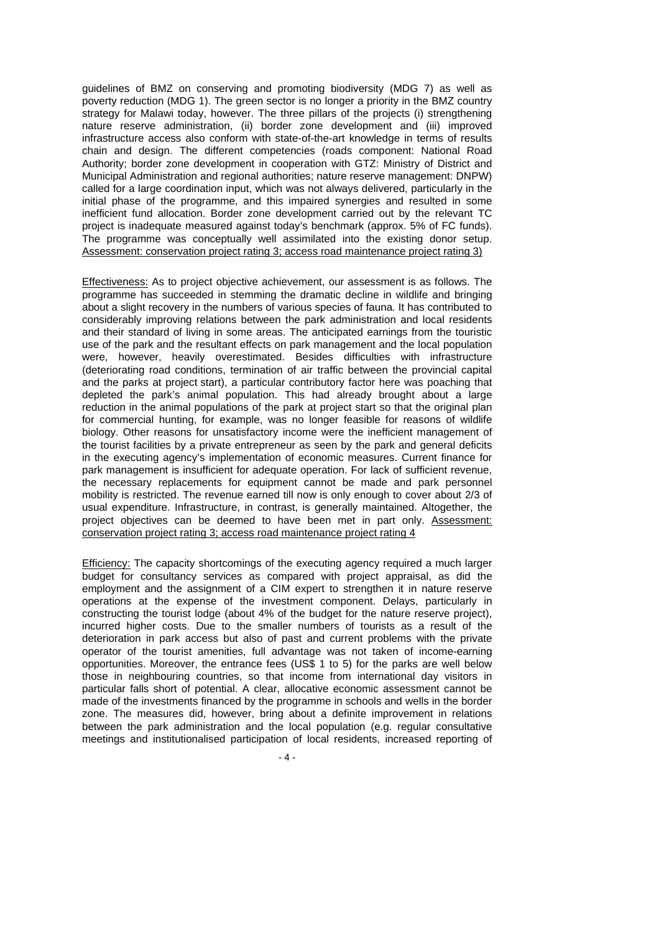guidelines of BMZ on conserving and promoting biodiversity (MDG 7) as well as poverty reduction (MDG 1). The green sector is no longer a priority in the BMZ country strategy for Malawi today, however. The three pillars of the projects (i) strengthening nature reserve administration, (ii) border zone development and (iii) improved infrastructure access also conform with state-of-the-art knowledge in terms of results chain and design. The different competencies (roads component: National Road Authority; border zone development in cooperation with GTZ: Ministry of District and Municipal Administration and regional authorities; nature reserve management: DNPW) called for a large coordination input, which was not always delivered, particularly in the initial phase of the programme, and this impaired synergies and resulted in some inefficient fund allocation. Border zone development carried out by the relevant TC project is inadequate measured against today's benchmark (approx. 5% of FC funds). The programme was conceptually well assimilated into the existing donor setup. Assessment: conservation project rating 3; access road maintenance project rating 3)

Effectiveness: As to project objective achievement, our assessment is as follows. The programme has succeeded in stemming the dramatic decline in wildlife and bringing about a slight recovery in the numbers of various species of fauna. It has contributed to considerably improving relations between the park administration and local residents and their standard of living in some areas. The anticipated earnings from the touristic use of the park and the resultant effects on park management and the local population were, however, heavily overestimated. Besides difficulties with infrastructure (deteriorating road conditions, termination of air traffic between the provincial capital and the parks at project start), a particular contributory factor here was poaching that depleted the park's animal population. This had already brought about a large reduction in the animal populations of the park at project start so that the original plan for commercial hunting, for example, was no longer feasible for reasons of wildlife biology. Other reasons for unsatisfactory income were the inefficient management of the tourist facilities by a private entrepreneur as seen by the park and general deficits in the executing agency's implementation of economic measures. Current finance for park management is insufficient for adequate operation. For lack of sufficient revenue, the necessary replacements for equipment cannot be made and park personnel mobility is restricted. The revenue earned till now is only enough to cover about 2/3 of usual expenditure. Infrastructure, in contrast, is generally maintained. Altogether, the project objectives can be deemed to have been met in part only. Assessment: conservation project rating 3; access road maintenance project rating 4

Efficiency: The capacity shortcomings of the executing agency required a much larger budget for consultancy services as compared with project appraisal, as did the employment and the assignment of a CIM expert to strengthen it in nature reserve operations at the expense of the investment component. Delays, particularly in constructing the tourist lodge (about 4% of the budget for the nature reserve project), incurred higher costs. Due to the smaller numbers of tourists as a result of the deterioration in park access but also of past and current problems with the private operator of the tourist amenities, full advantage was not taken of income-earning opportunities. Moreover, the entrance fees (US\$ 1 to 5) for the parks are well below those in neighbouring countries, so that income from international day visitors in particular falls short of potential. A clear, allocative economic assessment cannot be made of the investments financed by the programme in schools and wells in the border zone. The measures did, however, bring about a definite improvement in relations between the park administration and the local population (e.g. regular consultative meetings and institutionalised participation of local residents, increased reporting of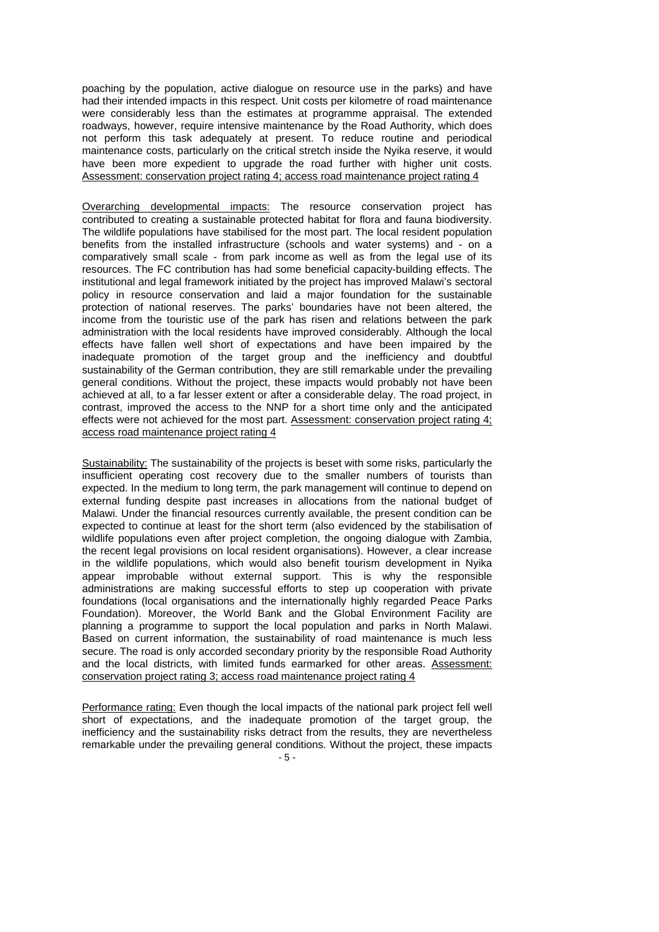poaching by the population, active dialogue on resource use in the parks) and have had their intended impacts in this respect. Unit costs per kilometre of road maintenance were considerably less than the estimates at programme appraisal. The extended roadways, however, require intensive maintenance by the Road Authority, which does not perform this task adequately at present. To reduce routine and periodical maintenance costs, particularly on the critical stretch inside the Nyika reserve, it would have been more expedient to upgrade the road further with higher unit costs. Assessment: conservation project rating 4; access road maintenance project rating 4

Overarching developmental impacts: The resource conservation project has contributed to creating a sustainable protected habitat for flora and fauna biodiversity. The wildlife populations have stabilised for the most part. The local resident population benefits from the installed infrastructure (schools and water systems) and - on a comparatively small scale - from park income as well as from the legal use of its resources. The FC contribution has had some beneficial capacity-building effects. The institutional and legal framework initiated by the project has improved Malawi's sectoral policy in resource conservation and laid a major foundation for the sustainable protection of national reserves. The parks' boundaries have not been altered, the income from the touristic use of the park has risen and relations between the park administration with the local residents have improved considerably. Although the local effects have fallen well short of expectations and have been impaired by the inadequate promotion of the target group and the inefficiency and doubtful sustainability of the German contribution, they are still remarkable under the prevailing general conditions. Without the project, these impacts would probably not have been achieved at all, to a far lesser extent or after a considerable delay. The road project, in contrast, improved the access to the NNP for a short time only and the anticipated effects were not achieved for the most part. Assessment: conservation project rating 4; access road maintenance project rating 4

Sustainability: The sustainability of the projects is beset with some risks, particularly the insufficient operating cost recovery due to the smaller numbers of tourists than expected. In the medium to long term, the park management will continue to depend on external funding despite past increases in allocations from the national budget of Malawi. Under the financial resources currently available, the present condition can be expected to continue at least for the short term (also evidenced by the stabilisation of wildlife populations even after project completion, the ongoing dialogue with Zambia, the recent legal provisions on local resident organisations). However, a clear increase in the wildlife populations, which would also benefit tourism development in Nyika appear improbable without external support. This is why the responsible administrations are making successful efforts to step up cooperation with private foundations (local organisations and the internationally highly regarded Peace Parks Foundation). Moreover, the World Bank and the Global Environment Facility are planning a programme to support the local population and parks in North Malawi. Based on current information, the sustainability of road maintenance is much less secure. The road is only accorded secondary priority by the responsible Road Authority and the local districts, with limited funds earmarked for other areas. Assessment: conservation project rating 3; access road maintenance project rating 4

Performance rating: Even though the local impacts of the national park project fell well short of expectations, and the inadequate promotion of the target group, the inefficiency and the sustainability risks detract from the results, they are nevertheless remarkable under the prevailing general conditions. Without the project, these impacts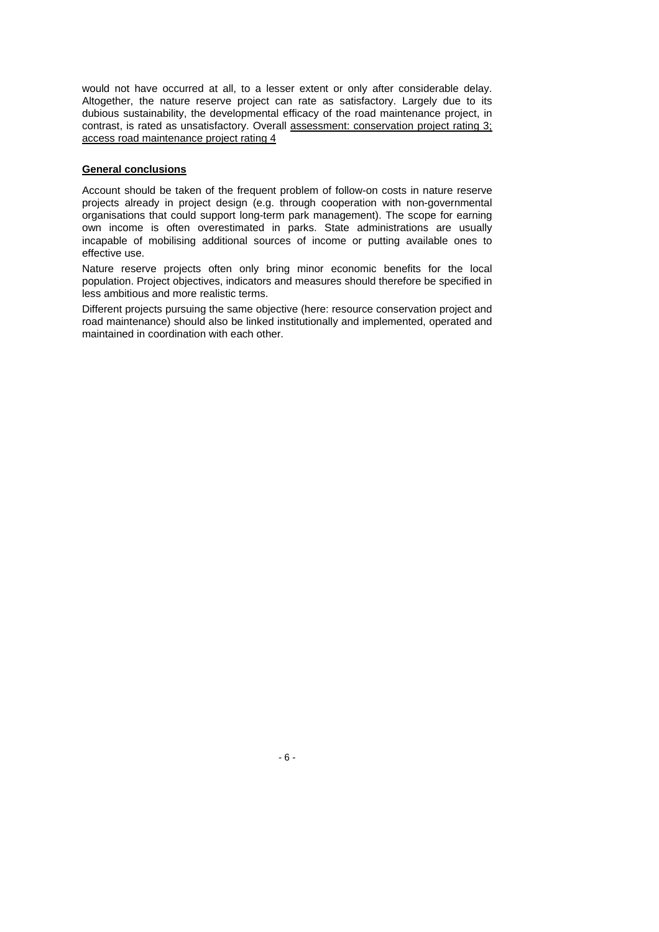would not have occurred at all, to a lesser extent or only after considerable delay. Altogether, the nature reserve project can rate as satisfactory. Largely due to its dubious sustainability, the developmental efficacy of the road maintenance project, in contrast, is rated as unsatisfactory. Overall assessment: conservation project rating 3; access road maintenance project rating 4

### **General conclusions**

Account should be taken of the frequent problem of follow-on costs in nature reserve projects already in project design (e.g. through cooperation with non-governmental organisations that could support long-term park management). The scope for earning own income is often overestimated in parks. State administrations are usually incapable of mobilising additional sources of income or putting available ones to effective use.

Nature reserve projects often only bring minor economic benefits for the local population. Project objectives, indicators and measures should therefore be specified in less ambitious and more realistic terms.

Different projects pursuing the same objective (here: resource conservation project and road maintenance) should also be linked institutionally and implemented, operated and maintained in coordination with each other.